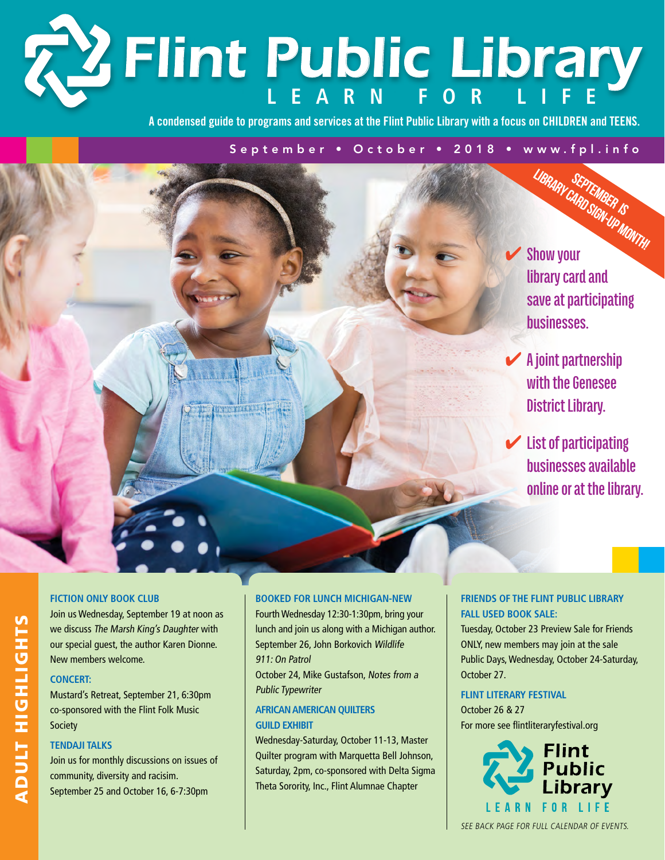# **Learn f o r L i f e** *Flint Public Library*

**A condensed guide to programs and services at the Flint Public Library with a focus on CHILDREN and TEENS.**

### September • October • 2018 • www.fpl.info

✔ **Show your library card and save at participating businesses.** September is Library Card Sign-Up Month!

✔ **A joint partnership with the Genesee District Library.**

✔ **List of participating businesses available online or at the library.**

### **Fiction Only Book Club**

Join us Wednesday, September 19 at noon as we discuss The Marsh King's Daughter with our special guest, the author Karen Dionne. New members welcome.

### **Concert:**

Mustard's Retreat, September 21, 6:30pm co-sponsored with the Flint Folk Music Society

### **Tendaji Talks**

Join us for monthly discussions on issues of community, diversity and racisim. September 25 and October 16, 6-7:30pm

### **Booked for Lunch Michigan-NEW**

Fourth Wednesday 12:30-1:30pm, bring your lunch and join us along with a Michigan author. September 26, John Borkovich Wildlife 911: On Patrol

October 24, Mike Gustafson, Notes from a Public Typewriter

### **African American Quilters GUILD EXHIBIT**

Wednesday-Saturday, October 11-13, Master Quilter program with Marquetta Bell Johnson, Saturday, 2pm, co-sponsored with Delta Sigma Theta Sorority, Inc., Flint Alumnae Chapter

### **Friends of the Flint Public Library Fall Used Book Sale:**

Tuesday, October 23 Preview Sale for Friends ONLY, new members may join at the sale Public Days, Wednesday, October 24-Saturday, October 27.

### **Flint Literary Festival**

October 26 & 27 For more see flintliteraryfestival.org



See back page for full calendar of events.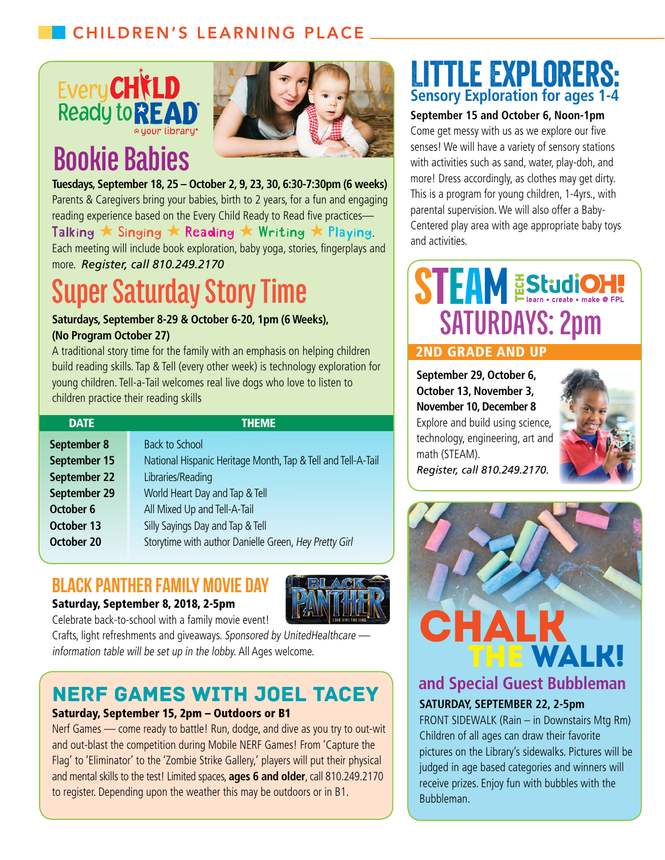

# **Bookie Babies**



**Tuesdays, September 18, 25 – October 2, 9, 23, 30, 6:30-7:30pm (6 weeks)** Parents & Caregivers bring your babies, birth to 2 years, for a fun and engaging reading experience based on the Every Child Ready to Read five practices— Talking  $\star$  Singing  $\star$  Reading  $\star$  Writing  $\star$  Playing.

Each meeting will include book exploration, baby yoga, stories, fingerplays and more. *Register, call 810.249.2170*

# **Super Saturday Story Time**

### **Saturdays, September 8-29 & October 6-20, 1pm (6 Weeks), (No Program October 27)**

A traditional story time for the family with an emphasis on helping children build reading skills. Tap & Tell (every other week) is technology exploration for young children. Tell-a-Tail welcomes real live dogs who love to listen to children practice their reading skills

| <b>DATE</b>  | <b>THEME</b>                                                 |
|--------------|--------------------------------------------------------------|
| September 8  | <b>Back to School</b>                                        |
| September 15 | National Hispanic Heritage Month, Tap & Tell and Tell-A-Tail |
| September 22 | Libraries/Reading                                            |
| September 29 | World Heart Day and Tap & Tell                               |
| October 6    | All Mixed Up and Tell-A-Tail                                 |
| October 13   | Silly Sayings Day and Tap & Tell                             |
| October 20   | Storytime with author Danielle Green, Hey Pretty Girl        |

### Black Panther Family Movie Day

Saturday, September 8, 2018, 2-5pm



Celebrate back-to-school with a family movie event!

Crafts, light refreshments and giveaways. Sponsored by UnitedHealthcare information table will be set up in the lobby. All Ages welcome.

### Nerf Games with Joel Tacey

### Saturday, September 15, 2pm – Outdoors or B1

Nerf Games — come ready to battle! Run, dodge, and dive as you try to out-wit and out-blast the competition during Mobile NERF Games! From 'Capture the Flag' to 'Eliminator' to the 'Zombie Strike Gallery,' players will put their physical and mental skills to the test! Limited spaces, **ages 6 and older**, call 810.249.2170 to register. Depending upon the weather this may be outdoors or in B1.

### Little Explorers: **Sensory Exploration for ages 1-4**

### **September 15 and October 6, Noon-1pm**

Come get messy with us as we explore our five senses! We will have a variety of sensory stations with activities such as sand, water, play-doh, and more! Dress accordingly, as clothes may get dirty. This is a program for young children, 1-4yrs., with parental supervision. We will also offer a Baby-Centered play area with age appropriate baby toys and activities.

# **STEAM EStudion:**<br>SATURDAYS: 2pm 2nd grade and up

**September 29, October 6, October 13, November 3, November 10, December 8** Explore and build using science, technology, engineering, art and math (STEAM).



*Register, call 810.249.2170.*



### **and Special Guest Bubbleman**

### **SATURDAY, SEPTEMBER 22, 2-5pm**

FRONT SIDEWALK (Rain – in Downstairs Mtg Rm) Children of all ages can draw their favorite pictures on the Library's sidewalks. Pictures will be judged in age based categories and winners will receive prizes. Enjoy fun with bubbles with the Bubbleman.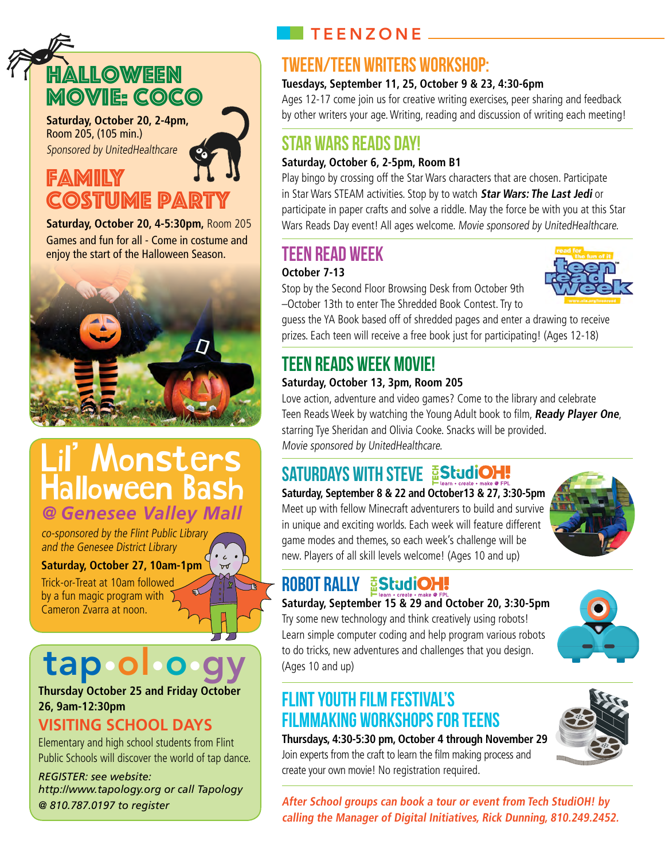## Halloween Movie: Coco

**Saturday, October 20, 2-4pm,** Room 205, (105 min.) Sponsored by UnitedHealthcare

### Family **COSTUME PAR**

**Saturday, October 20, 4-5:30pm,** Room 205 Games and fun for all - Come in costume and enjoy the start of the Halloween Season.



### Lil' Monsters Halloween Bash *@ Genesee Valley Mall*

co-sponsored by the Flint Public Library and the Genesee District Library

### **Saturday, October 27, 10am-1pm**

Trick-or-Treat at 10am followed by a fun magic program with Cameron Zvarra at noon.

# tap

**Thursday October 25 and Friday October 26, 9am-12:30pm**

### **Visiting School Days**

Elementary and high school students from Flint Public Schools will discover the world of tap dance.

*REGISTER: see website: http://www.tapology.org or call Tapology @ 810.787.0197 to register*

### $\blacksquare$  TEENZONE  $\blacksquare$

### TWEEN/TEEN WRITERS WORKSHOP:

### **Tuesdays, September 11, 25, October 9 & 23, 4:30-6pm**

Ages 12-17 come join us for creative writing exercises, peer sharing and feedback by other writers your age. Writing, reading and discussion of writing each meeting!

### Star Wars Reads Day!

### **Saturday, October 6, 2-5pm, Room B1**

Play bingo by crossing off the Star Wars characters that are chosen. Participate in Star Wars STEAM activities. Stop by to watch **Star Wars: The Last Jedi** or participate in paper crafts and solve a riddle. May the force be with you at this Star Wars Reads Day event! All ages welcome. Movie sponsored by UnitedHealthcare.

### Teen Read Week

### **October 7-13**

Stop by the Second Floor Browsing Desk from October 9th –October 13th to enter The Shredded Book Contest. Try to



guess the YA Book based off of shredded pages and enter a drawing to receive prizes. Each teen will receive a free book just for participating! (Ages 12-18)

### Teen Reads Week Movie!

### **Saturday, October 13, 3pm, Room 205**

Love action, adventure and video games? Come to the library and celebrate Teen Reads Week by watching the Young Adult book to film, **Ready Player One**, starring Tye Sheridan and Olivia Cooke. Snacks will be provided. Movie sponsored by UnitedHealthcare.

### SATURDAYS WITH STEVE EStudiOH!

### **Saturday, September 8 & 22 and October13 & 27, 3:30-5pm**

Meet up with fellow Minecraft adventurers to build and survive in unique and exciting worlds. Each week will feature different game modes and themes, so each week's challenge will be new. Players of all skill levels welcome! (Ages 10 and up)



### **ROBOT RALLY EStudiOH!**

**Saturday, September 15 & 29 and October 20, 3:30-5pm** Try some new technology and think creatively using robots! Learn simple computer coding and help program various robots to do tricks, new adventures and challenges that you design. (Ages 10 and up)

### Flint Youth Film Festival's FilmMaking Workshops for Teens

**Thursdays, 4:30-5:30 pm, October 4 through November 29** Join experts from the craft to learn the film making process and create your own movie! No registration required.



**After School groups can book <sup>a</sup> tour or event from Tech StudiOH! by calling the Manager of Digital Initiatives, Rick Dunning, 810.249.2452.**